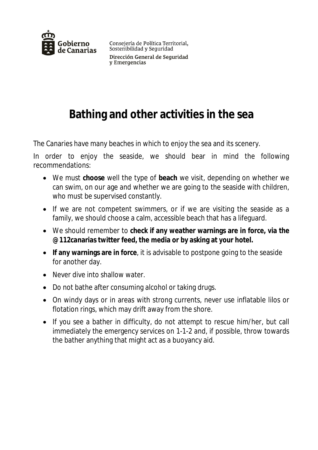

Consejería de Política Territorial, Sostenibilidad y Seguridad Dirección General de Seguridad v Emergencias

## **Bathing and other activities in the sea**

The Canaries have many beaches in which to enjoy the sea and its scenery.

In order to enjoy the seaside, we should bear in mind the following recommendations:

- We must **choose** well the type of **beach** we visit, depending on whether we can swim, on our age and whether we are going to the seaside with children, who must be supervised constantly.
- If we are not competent swimmers, or if we are visiting the seaside as a family, we should choose a calm, accessible beach that has a lifeguard.
- We should remember to **check if any weather warnings are in force, via the @112canarias twitter feed, the media or by asking at your hotel.**
- **If any warnings are in force**, it is advisable to postpone going to the seaside for another day.
- Never dive into shallow water.
- Do not bathe after consuming alcohol or taking drugs.
- On windy days or in areas with strong currents, never use inflatable lilos or flotation rings, which may drift away from the shore.
- If you see a bather in difficulty, do not attempt to rescue him/her, but call immediately the emergency services on 1-1-2 and, if possible, throw towards the bather anything that might act as a buoyancy aid.